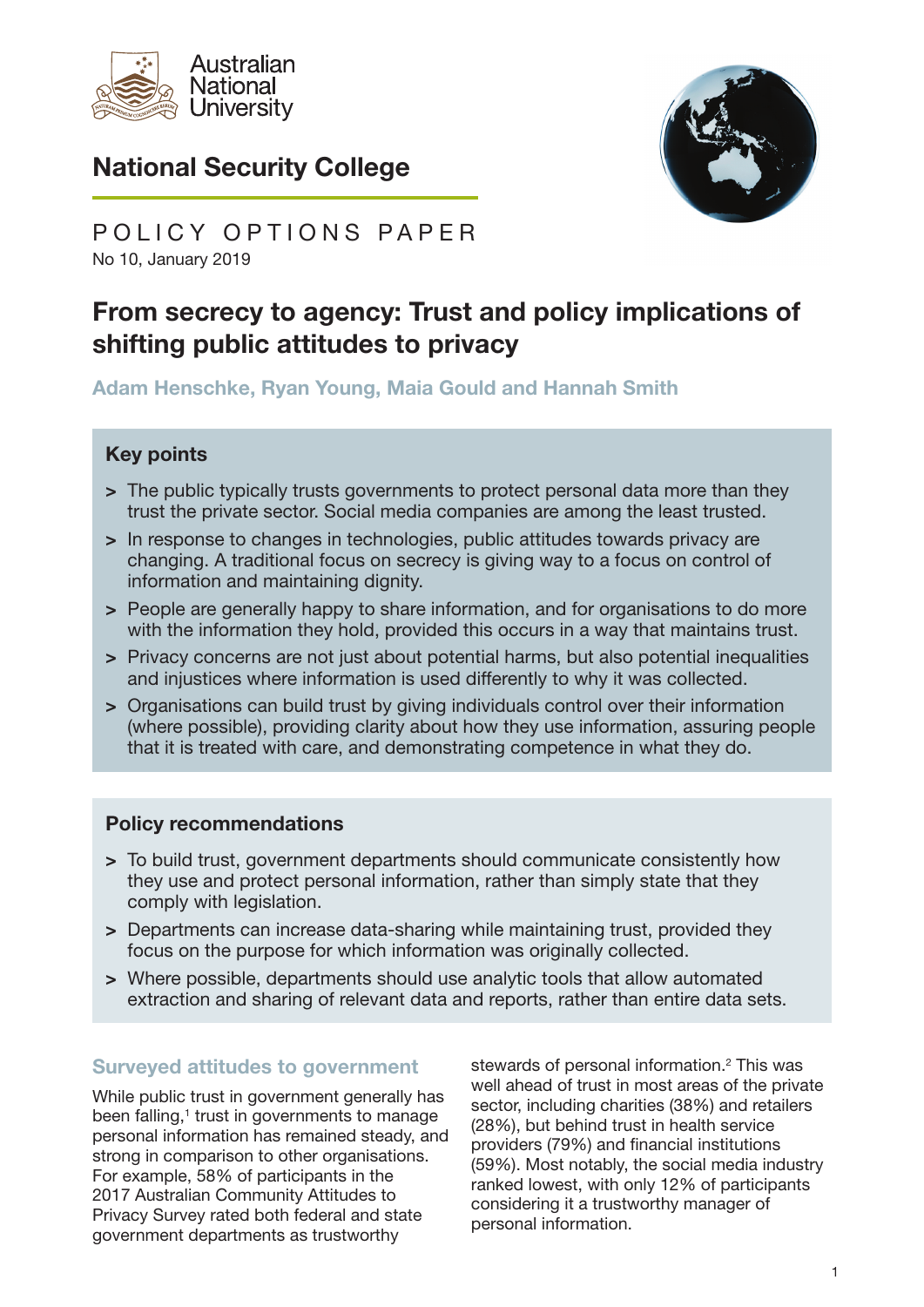

# National Security College



No 10, January 2019 POLICY OPTIONS PAPER

# From secrecy to agency: Trust and policy implications of shifting public attitudes to privacy

Adam Henschke, Ryan Young, Maia Gould and Hannah Smith

### Key points

- > The public typically trusts governments to protect personal data more than they trust the private sector. Social media companies are among the least trusted.
- > In response to changes in technologies, public attitudes towards privacy are changing. A traditional focus on secrecy is giving way to a focus on control of information and maintaining dignity.
- > People are generally happy to share information, and for organisations to do more with the information they hold, provided this occurs in a way that maintains trust.
- > Privacy concerns are not just about potential harms, but also potential inequalities and injustices where information is used differently to why it was collected.
- > Organisations can build trust by giving individuals control over their information (where possible), providing clarity about how they use information, assuring people that it is treated with care, and demonstrating competence in what they do.

#### Policy recommendations

- > To build trust, government departments should communicate consistently how they use and protect personal information, rather than simply state that they comply with legislation.
- > Departments can increase data-sharing while maintaining trust, provided they focus on the purpose for which information was originally collected.
- > Where possible, departments should use analytic tools that allow automated extraction and sharing of relevant data and reports, rather than entire data sets.

#### Surveyed attitudes to government

While public trust in government generally has been falling,<sup>1</sup> trust in governments to manage personal information has remained steady, and strong in comparison to other organisations. For example, 58% of participants in the 2017 Australian Community Attitudes to Privacy Survey rated both federal and state government departments as trustworthy

stewards of personal information.<sup>2</sup> This was well ahead of trust in most areas of the private sector, including charities (38%) and retailers (28%), but behind trust in health service providers (79%) and financial institutions (59%). Most notably, the social media industry ranked lowest, with only 12% of participants considering it a trustworthy manager of personal information.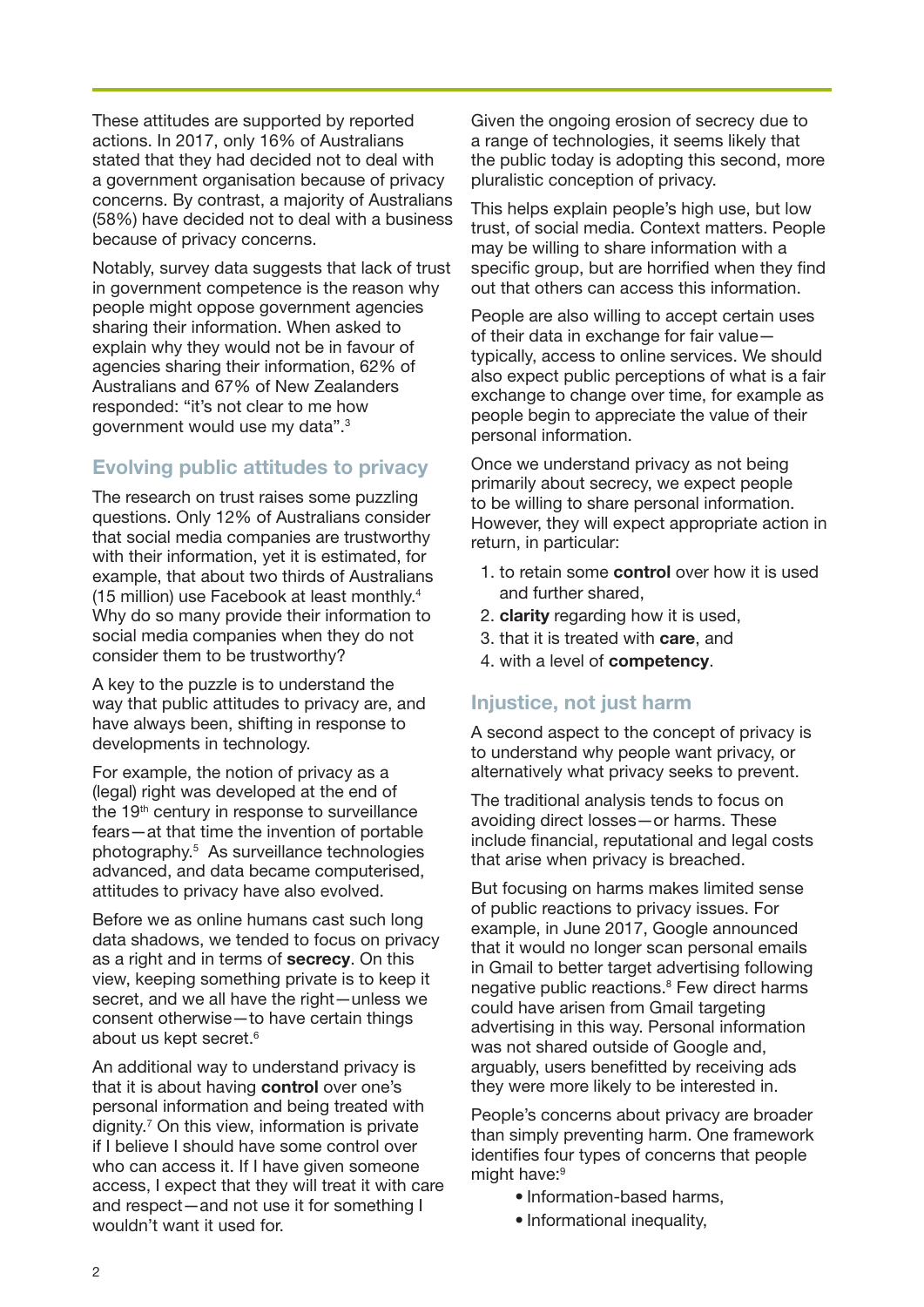These attitudes are supported by reported actions. In 2017, only 16% of Australians stated that they had decided not to deal with a government organisation because of privacy concerns. By contrast, a majority of Australians (58%) have decided not to deal with a business because of privacy concerns.

Notably, survey data suggests that lack of trust in government competence is the reason why people might oppose government agencies sharing their information. When asked to explain why they would not be in favour of agencies sharing their information, 62% of Australians and 67% of New Zealanders responded: "it's not clear to me how government would use my data".3

# Evolving public attitudes to privacy

The research on trust raises some puzzling questions. Only 12% of Australians consider that social media companies are trustworthy with their information, yet it is estimated, for example, that about two thirds of Australians (15 million) use Facebook at least monthly.4 Why do so many provide their information to social media companies when they do not consider them to be trustworthy?

A key to the puzzle is to understand the way that public attitudes to privacy are, and have always been, shifting in response to developments in technology.

For example, the notion of privacy as a (legal) right was developed at the end of the 19<sup>th</sup> century in response to surveillance fears—at that time the invention of portable photography.5 As surveillance technologies advanced, and data became computerised, attitudes to privacy have also evolved.

Before we as online humans cast such long data shadows, we tended to focus on privacy as a right and in terms of secrecy. On this view, keeping something private is to keep it secret, and we all have the right-unless we consent otherwise—to have certain things about us kept secret.<sup>6</sup>

An additional way to understand privacy is that it is about having **control** over one's personal information and being treated with dignity.7 On this view, information is private if I believe I should have some control over who can access it. If I have given someone access, I expect that they will treat it with care and respect—and not use it for something I wouldn't want it used for.

Given the ongoing erosion of secrecy due to a range of technologies, it seems likely that the public today is adopting this second, more pluralistic conception of privacy.

This helps explain people's high use, but low trust, of social media. Context matters. People may be willing to share information with a specific group, but are horrified when they find out that others can access this information.

People are also willing to accept certain uses of their data in exchange for fair value typically, access to online services. We should also expect public perceptions of what is a fair exchange to change over time, for example as people begin to appreciate the value of their personal information.

Once we understand privacy as not being primarily about secrecy, we expect people to be willing to share personal information. However, they will expect appropriate action in return, in particular:

- 1. to retain some control over how it is used and further shared,
- 2. clarity regarding how it is used,
- 3. that it is treated with care, and
- 4. with a level of competency.

#### Injustice, not just harm

A second aspect to the concept of privacy is to understand why people want privacy, or alternatively what privacy seeks to prevent.

The traditional analysis tends to focus on avoiding direct losses—or harms. These include financial, reputational and legal costs that arise when privacy is breached.

But focusing on harms makes limited sense of public reactions to privacy issues. For example, in June 2017, Google announced that it would no longer scan personal emails in Gmail to better target advertising following negative public reactions.<sup>8</sup> Few direct harms could have arisen from Gmail targeting advertising in this way. Personal information was not shared outside of Google and, arguably, users benefitted by receiving ads they were more likely to be interested in.

People's concerns about privacy are broader than simply preventing harm. One framework identifies four types of concerns that people might have:<sup>9</sup>

- Information-based harms,
- Informational inequality.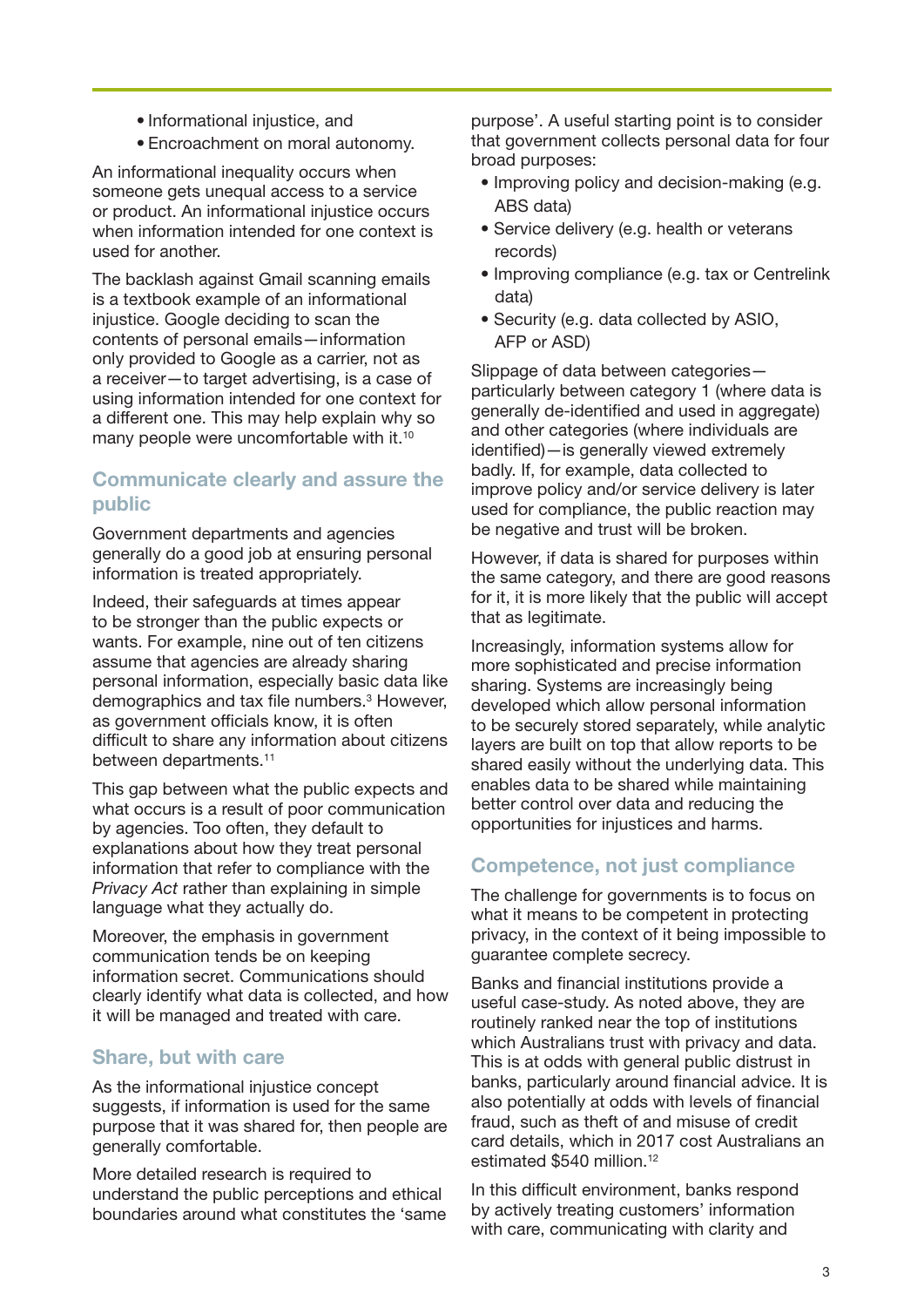- Informational injustice, and
- Encroachment on moral autonomy.

An informational inequality occurs when someone gets unequal access to a service or product. An informational injustice occurs when information intended for one context is used for another.

The backlash against Gmail scanning emails is a textbook example of an informational injustice. Google deciding to scan the contents of personal emails—information only provided to Google as a carrier, not as a receiver—to target advertising, is a case of using information intended for one context for a different one. This may help explain why so many people were uncomfortable with it.<sup>10</sup>

### Communicate clearly and assure the public

Government departments and agencies generally do a good job at ensuring personal information is treated appropriately.

Indeed, their safeguards at times appear to be stronger than the public expects or wants. For example, nine out of ten citizens assume that agencies are already sharing personal information, especially basic data like demographics and tax file numbers.<sup>3</sup> However, as government officials know, it is often difficult to share any information about citizens between departments.<sup>11</sup>

This gap between what the public expects and what occurs is a result of poor communication by agencies. Too often, they default to explanations about how they treat personal information that refer to compliance with the *Privacy Act* rather than explaining in simple language what they actually do.

Moreover, the emphasis in government communication tends be on keeping information secret. Communications should clearly identify what data is collected, and how it will be managed and treated with care.

#### Share, but with care

As the informational injustice concept suggests, if information is used for the same purpose that it was shared for, then people are generally comfortable.

More detailed research is required to understand the public perceptions and ethical boundaries around what constitutes the 'same purpose'. A useful starting point is to consider that government collects personal data for four broad purposes:

- Improving policy and decision-making (e.g. ABS data)
- Service delivery (e.g. health or veterans records)
- Improving compliance (e.g. tax or Centrelink data)
- Security (e.g. data collected by ASIO, AFP or ASD)

Slippage of data between categories particularly between category 1 (where data is generally de-identified and used in aggregate) and other categories (where individuals are identified)—is generally viewed extremely badly. If, for example, data collected to improve policy and/or service delivery is later used for compliance, the public reaction may be negative and trust will be broken.

However, if data is shared for purposes within the same category, and there are good reasons for it, it is more likely that the public will accept that as legitimate.

Increasingly, information systems allow for more sophisticated and precise information sharing. Systems are increasingly being developed which allow personal information to be securely stored separately, while analytic layers are built on top that allow reports to be shared easily without the underlying data. This enables data to be shared while maintaining better control over data and reducing the opportunities for injustices and harms.

#### Competence, not just compliance

The challenge for governments is to focus on what it means to be competent in protecting privacy, in the context of it being impossible to guarantee complete secrecy.

Banks and financial institutions provide a useful case-study. As noted above, they are routinely ranked near the top of institutions which Australians trust with privacy and data. This is at odds with general public distrust in banks, particularly around financial advice. It is also potentially at odds with levels of financial fraud, such as theft of and misuse of credit card details, which in 2017 cost Australians an estimated \$540 million.<sup>12</sup>

In this difficult environment, banks respond by actively treating customers' information with care, communicating with clarity and